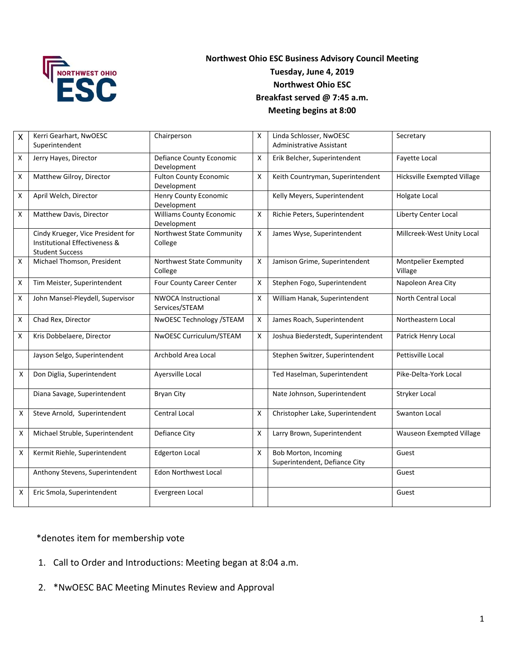

## **Northwest Ohio ESC Business Advisory Council Meeting Tuesday, June 4, 2019 Northwest Ohio ESC Breakfast served @ 7:45 a.m. Meeting begins at 8:00**

| $\mathsf{X}$ | Kerri Gearhart, NwOESC<br>Superintendent                                                     | Chairperson                                    | X | Linda Schlosser, NwOESC<br><b>Administrative Assistant</b> | Secretary                      |
|--------------|----------------------------------------------------------------------------------------------|------------------------------------------------|---|------------------------------------------------------------|--------------------------------|
| X            | Jerry Hayes, Director                                                                        | <b>Defiance County Economic</b><br>Development | X | Erik Belcher, Superintendent                               | Fayette Local                  |
| X            | Matthew Gilroy, Director                                                                     | <b>Fulton County Economic</b><br>Development   | X | Keith Countryman, Superintendent                           | Hicksville Exempted Village    |
| X            | April Welch, Director                                                                        | Henry County Economic<br>Development           |   | Kelly Meyers, Superintendent                               | Holgate Local                  |
| X            | Matthew Davis, Director                                                                      | <b>Williams County Economic</b><br>Development | Χ | Richie Peters, Superintendent                              | <b>Liberty Center Local</b>    |
|              | Cindy Krueger, Vice President for<br>Institutional Effectiveness &<br><b>Student Success</b> | Northwest State Community<br>College           | Χ | James Wyse, Superintendent                                 | Millcreek-West Unity Local     |
| X            | Michael Thomson, President                                                                   | Northwest State Community<br>College           | X | Jamison Grime, Superintendent                              | Montpelier Exempted<br>Village |
| Χ            | Tim Meister, Superintendent                                                                  | Four County Career Center                      | X | Stephen Fogo, Superintendent                               | Napoleon Area City             |
| $\mathsf X$  | John Mansel-Pleydell, Supervisor                                                             | <b>NWOCA Instructional</b><br>Services/STEAM   | X | William Hanak, Superintendent                              | <b>North Central Local</b>     |
| X            | Chad Rex, Director                                                                           | NwOESC Technology / STEAM                      | Χ | James Roach, Superintendent                                | Northeastern Local             |
| X            | Kris Dobbelaere, Director                                                                    | NwOESC Curriculum/STEAM                        | Χ | Joshua Biederstedt, Superintendent                         | Patrick Henry Local            |
|              | Jayson Selgo, Superintendent                                                                 | Archbold Area Local                            |   | Stephen Switzer, Superintendent                            | Pettisville Local              |
| X            | Don Diglia, Superintendent                                                                   | Ayersville Local                               |   | Ted Haselman, Superintendent                               | Pike-Delta-York Local          |
|              | Diana Savage, Superintendent                                                                 | <b>Bryan City</b>                              |   | Nate Johnson, Superintendent                               | Stryker Local                  |
| X            | Steve Arnold, Superintendent                                                                 | Central Local                                  | X | Christopher Lake, Superintendent                           | <b>Swanton Local</b>           |
| X            | Michael Struble, Superintendent                                                              | Defiance City                                  | X | Larry Brown, Superintendent                                | Wauseon Exempted Village       |
| X            | Kermit Riehle, Superintendent                                                                | <b>Edgerton Local</b>                          | Χ | Bob Morton, Incoming<br>Superintendent, Defiance City      | Guest                          |
|              | Anthony Stevens, Superintendent                                                              | <b>Edon Northwest Local</b>                    |   |                                                            | Guest                          |
| X            | Eric Smola, Superintendent                                                                   | Evergreen Local                                |   |                                                            | Guest                          |

\*denotes item for membership vote

- 1. Call to Order and Introductions: Meeting began at 8:04 a.m.
- 2. \*NwOESC BAC Meeting Minutes Review and Approval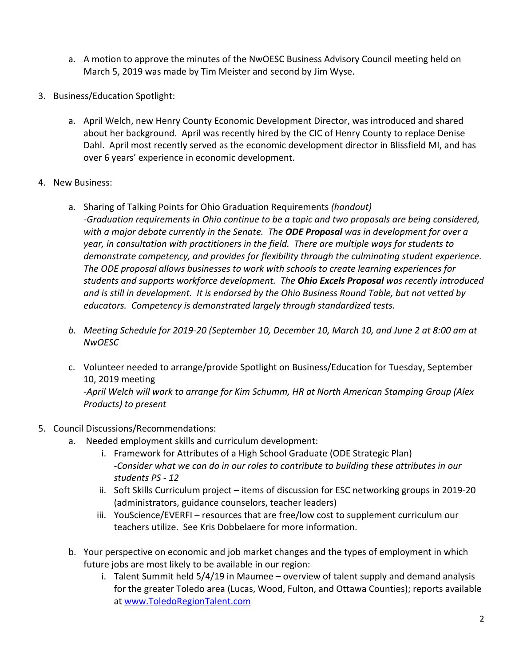- a. A motion to approve the minutes of the NwOESC Business Advisory Council meeting held on March 5, 2019 was made by Tim Meister and second by Jim Wyse.
- 3. Business/Education Spotlight:
	- a. April Welch, new Henry County Economic Development Director, was introduced and shared about her background. April was recently hired by the CIC of Henry County to replace Denise Dahl. April most recently served as the economic development director in Blissfield MI, and has over 6 years' experience in economic development.
- 4. New Business:
	- a. Sharing of Talking Points for Ohio Graduation Requirements *(handout) ‐Graduation requirements in Ohio continue to be a topic and two proposals are being considered, with a major debate currently in the Senate. The ODE Proposal was in development for over a year, in consultation with practitioners in the field. There are multiple ways for students to demonstrate competency, and provides for flexibility through the culminating student experience. The ODE proposal allows businesses to work with schools to create learning experiences for students and supports workforce development. The Ohio Excels Proposal was recently introduced and is still in development. It is endorsed by the Ohio Business Round Table, but not vetted by*  educators. Competency is demonstrated largely through standardized tests.
	- *b. Meeting Schedule for 2019‐20 (September 10, December 10, March 10, and June 2 at 8:00 am at NwOESC*
	- c. Volunteer needed to arrange/provide Spotlight on Business/Education for Tuesday, September 10, 2019 meeting *‐April Welch will work to arrange for Kim Schumm, HR at North American Stamping Group (Alex Products) to present*
- 5. Council Discussions/Recommendations:
	- a. Needed employment skills and curriculum development:
		- i. Framework for Attributes of a High School Graduate (ODE Strategic Plan) *‐Consider what we can do in our roles to contribute to building these attributes in our students PS ‐ 12*
		- ii. Soft Skills Curriculum project items of discussion for ESC networking groups in 2019‐20 (administrators, guidance counselors, teacher leaders)
		- iii. YouScience/EVERFI resources that are free/low cost to supplement curriculum our teachers utilize. See Kris Dobbelaere for more information.
		- b. Your perspective on economic and job market changes and the types of employment in which future jobs are most likely to be available in our region:
			- i. Talent Summit held 5/4/19 in Maumee overview of talent supply and demand analysis for the greater Toledo area (Lucas, Wood, Fulton, and Ottawa Counties); reports available at www.ToledoRegionTalent.com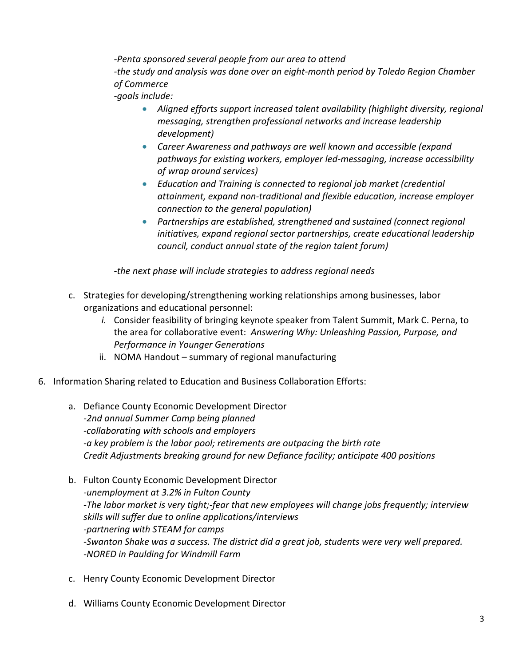*‐Penta sponsored several people from our area to attend ‐the study and analysis was done over an eight‐month period by Toledo Region Chamber of Commerce ‐goals include:* 

- **•** Aligned efforts support increased talent availability (highlight diversity, regional *messaging, strengthen professional networks and increase leadership development)*
- *Career Awareness and pathways are well known and accessible (expand pathways for existing workers, employer led‐messaging, increase accessibility of wrap around services)*
- *Education and Training is connected to regional job market (credential attainment, expand non‐traditional and flexible education, increase employer connection to the general population)*
- *Partnerships are established, strengthened and sustained (connect regional initiatives, expand regional sector partnerships, create educational leadership council, conduct annual state of the region talent forum)*

*‐the next phase will include strategies to address regional needs* 

- c. Strategies for developing/strengthening working relationships among businesses, labor organizations and educational personnel:
	- *i.* Consider feasibility of bringing keynote speaker from Talent Summit, Mark C. Perna, to the area for collaborative event: *Answering Why: Unleashing Passion, Purpose, and Performance in Younger Generations*
	- ii. NOMA Handout summary of regional manufacturing
- 6. Information Sharing related to Education and Business Collaboration Efforts:
	- a. Defiance County Economic Development Director *‐2nd annual Summer Camp being planned ‐collaborating with schools and employers ‐a key problem is the labor pool; retirements are outpacing the birth rate Credit Adjustments breaking ground for new Defiance facility; anticipate 400 positions*
	- b. Fulton County Economic Development Director *‐unemployment at 3.2% in Fulton County ‐The labor market is very tight;‐fear that new employees will change jobs frequently; interview skills will suffer due to online applications/interviews ‐partnering with STEAM for camps ‐Swanton Shake was a success. The district did a great job, students were very well prepared. ‐NORED in Paulding for Windmill Farm*
	- c. Henry County Economic Development Director
	- d. Williams County Economic Development Director